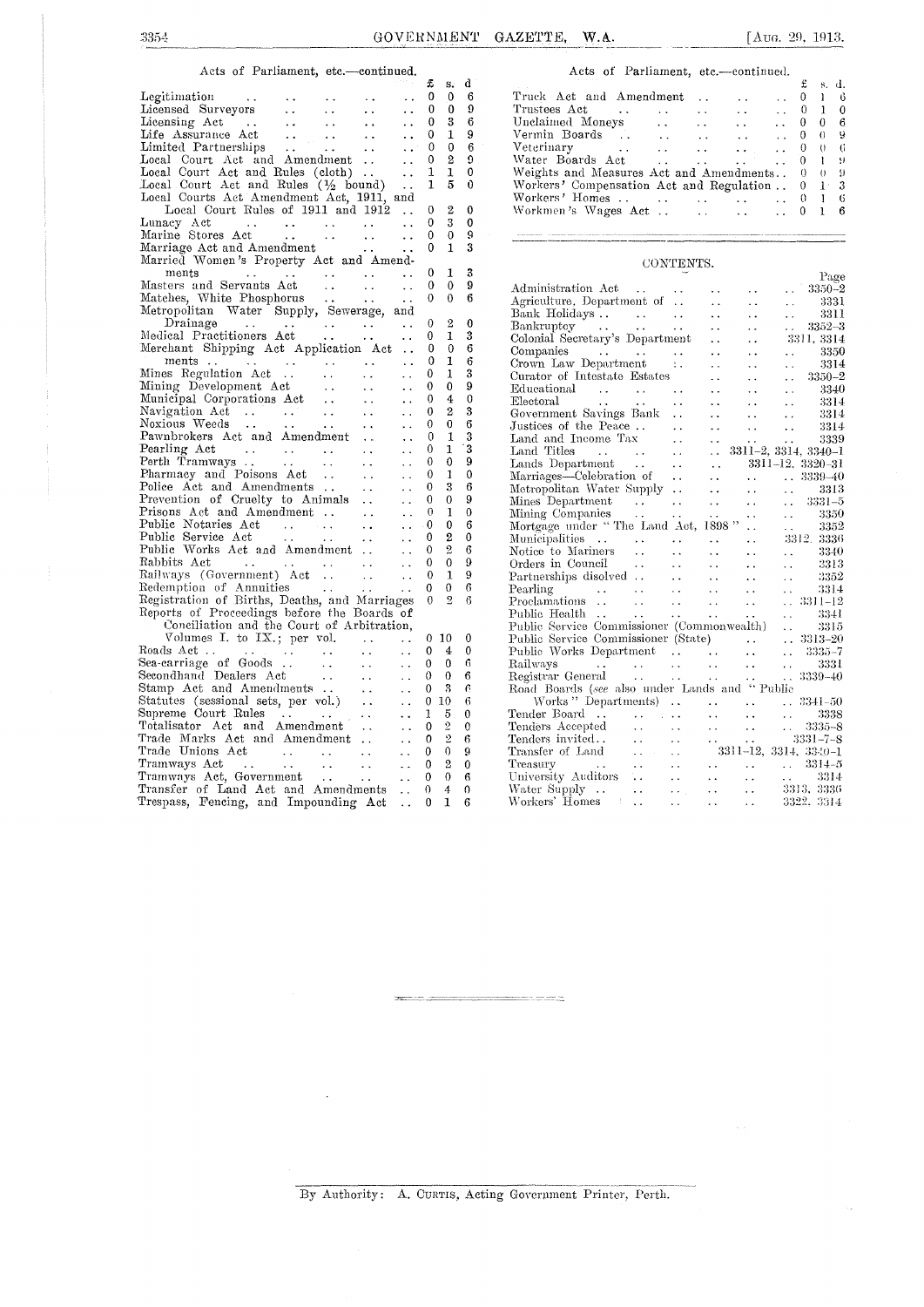s.

#### Acts of Parliament, etc.—continued.

| $\mathfrak{D}$ and $\mathfrak{D}$ and $\mathfrak{D}$ and $\mathfrak{D}$ and $\mathfrak{D}$ and $\mathfrak{D}$ and $\mathfrak{D}$ |  |  |                                                  | $f$ s.d. |  |
|----------------------------------------------------------------------------------------------------------------------------------|--|--|--------------------------------------------------|----------|--|
|                                                                                                                                  |  |  | Truck Act and Amendment  0 1 6                   |          |  |
|                                                                                                                                  |  |  | Trustees Act 0 1 0                               |          |  |
|                                                                                                                                  |  |  | Unclaimed Moneys 0 0 6                           |          |  |
| Life Assurance Act $\dots$ $\dots$ $\dots$ $\qquad \, 0 \,$ 1 $\,$ 9                                                             |  |  | Vermin Boards 0 0 9                              |          |  |
| Limited Partnerships 0 0 6                                                                                                       |  |  |                                                  |          |  |
| Local Court Act and Amendment   0 2 9                                                                                            |  |  | Water Boards Act  0 1 9                          |          |  |
| $Local$ Court Act and Rules (cloth) $1 \t1 \t0$                                                                                  |  |  | Weights and Measures Act and Amendments 0 0 9    |          |  |
| Local Court Act and Rules $(\frac{1}{2}$ bound) $\ldots$ 1 5 0                                                                   |  |  | Workers' Compensation Act and Regulation . 0 1 3 |          |  |
| Local Courts Act Amendment Act, 1911, and                                                                                        |  |  | Workers' Homes 0 1 6                             |          |  |
| Local Court Rules of 1911 and 1912  0 2 0                                                                                        |  |  |                                                  |          |  |
|                                                                                                                                  |  |  |                                                  |          |  |

### $CONTENTS.$

| Masters and Servants Act<br>$\sim$ $\sim$<br>$\ddot{\phantom{a}}$<br>$\ddot{\phantom{a}}$                                                                                                                                                                                               | $\theta$     | $\mathbf{0}$     | 9           | 1.98c<br>Administration Act<br>$3350 - 2$                                                                                                                                                                                                                                                                    |
|-----------------------------------------------------------------------------------------------------------------------------------------------------------------------------------------------------------------------------------------------------------------------------------------|--------------|------------------|-------------|--------------------------------------------------------------------------------------------------------------------------------------------------------------------------------------------------------------------------------------------------------------------------------------------------------------|
| Matches, White Phosphorus<br>$\ddot{\phantom{a}}$ .<br>$\mathcal{L}(\mathcal{L})$                                                                                                                                                                                                       | $\mathbf{0}$ | $\Omega$         | 6           | 3331                                                                                                                                                                                                                                                                                                         |
| Metropolitan Water Supply, Sewerage, and                                                                                                                                                                                                                                                |              |                  |             | Agriculture, Department of<br>$\sim$ $\sim$<br>$\sim$ $\sim$<br>3311                                                                                                                                                                                                                                         |
| Drainage<br>المناجعات المعادات المعادات المعادا<br>$\ddot{\phantom{a}}$ .                                                                                                                                                                                                               | $\Omega$     | $\boldsymbol{2}$ | 0           | $\sim 10^{-1}$<br>$\sim$ $\sim$<br>$\ddot{\phantom{0}}$                                                                                                                                                                                                                                                      |
| Medical Practitioners Act<br>$\sim 100$ km s $^{-1}$<br>$\sim 10^{-1}$<br>$\ddot{\phantom{a}}$                                                                                                                                                                                          | $\Omega$     | $\mathbf{I}$     | 3           | Bankruptcy<br>$3352 - 3$<br>$\mathcal{L}(\mathbf{r})$<br>$\ddot{\phantom{a}}$                                                                                                                                                                                                                                |
| Merchant Shipping Act Application Act<br>$\sim$ .                                                                                                                                                                                                                                       | $\bf{0}$     | $\mathbf 0$      | 6           | Colonial Secretary's Department<br>3311, 3314<br>$\sim 10^{-1}$<br>$\sim 10$                                                                                                                                                                                                                                 |
| $ments \ldots \ldots \ldots$<br>$\ddot{\phantom{a}}$<br>$\ddot{\phantom{a}}$<br>$\sim$ $\sim$                                                                                                                                                                                           | 0            | 1                | 6           | 3350<br>$\sim 10^{-1}$<br>$\sim$ $\sim$                                                                                                                                                                                                                                                                      |
| Mines Regulation Act<br>$\ddot{\phantom{a}}$<br>$\overline{\mathbf{r}}$ .                                                                                                                                                                                                               | $\Omega$     |                  | 3           | Crown Law Department :.<br>3314<br>$\sim 10^{-1}$<br>$\sim 10$<br>$\ddot{\phantom{a}}$                                                                                                                                                                                                                       |
| $\sim$ $\sim$                                                                                                                                                                                                                                                                           | $\theta$     | $\Omega$         | 9           | Curator of Intestate Estates<br>$3350 - 2$<br>$\ddot{\phantom{a}}$<br>$\ddot{\phantom{a}}$                                                                                                                                                                                                                   |
| Mining Development Act<br>Municipal Corporations Act<br>Navigation Act<br>Navigation Mechanics<br>$\sim$ $\sim$                                                                                                                                                                         | $\mathbf 0$  | $\boldsymbol{4}$ | $\mathbf 0$ | Educational<br>3340<br>$\sim 10^{-1}$<br>$\ddot{\phantom{a}}$<br>$\ddot{\phantom{a}}$                                                                                                                                                                                                                        |
| $\sim$ $\sim$<br>$\ddot{\phantom{a}}$                                                                                                                                                                                                                                                   | $\theta$     | $\mathbf{2}$     | 3           | Electoral<br>$\mathbf{r} = \mathbf{r} \cdot \mathbf{r}$ and $\mathbf{r} = \mathbf{r} \cdot \mathbf{r}$ and $\mathbf{r} = \mathbf{r} \cdot \mathbf{r}$<br>3314<br>$\ddotsc$<br>$\ddotsc$<br>$\ddot{\phantom{a}}$                                                                                              |
| $\ddot{\phantom{a}}$<br>$\ddot{\phantom{a}}$<br>Noxious Weeds                                                                                                                                                                                                                           | $\theta$     |                  |             | Government Savings Bank<br>3314<br>$\sim 10^{-11}$<br>$\ddotsc$<br>$\ddot{\phantom{a}}$                                                                                                                                                                                                                      |
| $\mathcal{L}_{\text{max}}$ .<br>$\ddot{\phantom{a}}$ .<br>$\ddot{\phantom{0}}$                                                                                                                                                                                                          | $\Omega$     | 0                | 6           | Justices of the Peace<br>Land and Income Tax<br>3314<br>$\sim$<br>$\ddot{\phantom{0}}$<br>$\ddot{\phantom{a}}$                                                                                                                                                                                               |
| Pawnbrokers Act and Amendment<br>$\ddot{\phantom{0}}$                                                                                                                                                                                                                                   |              | $\mathbf{1}$     |             | 3339<br>$\ddot{\phantom{a}}$<br>$\ddotsc$<br>$\ddot{\phantom{0}}$                                                                                                                                                                                                                                            |
| Pearling Act<br>$\mathcal{L}^{\mathcal{L}}$ , where $\mathcal{L}^{\mathcal{L}}$ and $\mathcal{L}^{\mathcal{L}}$ , and $\mathcal{L}^{\mathcal{L}}$<br>$\ddot{\phantom{a}}$<br>$\sim$ $\sim$                                                                                              | $\theta$     | $\mathbf{1}$     | 3           | $\mathbf{r}$ . The set of the set of the set of the set of the set of the set of the set of the set of the set of the set of the set of the set of the set of the set of the set of the set of the set of the set of the set of t<br>$3311 - 2, 3314, 3340 - 1$<br>Land Titles<br>$\mathcal{L}(\mathcal{L})$ |
| Perth Tramways<br>$\ddot{\phantom{1}}$ .<br>$\ddotsc$                                                                                                                                                                                                                                   | 0            | $\theta$         | 9           | Lands Department<br>and the same<br>$3311 - 12$ , $3320 - 31$<br>$\sim 10^{-1}$                                                                                                                                                                                                                              |
| Pharmacy and Poisons Act<br>$\sim$ $\sim$<br>$\ddot{\phantom{a}}$                                                                                                                                                                                                                       | $\Omega$     | $\mathbf{1}$     | $\mathbf 0$ | Marriages—Celebration of<br>$\ldots$ 3339-40<br>$\sim 10^{-11}$<br>$\sim$ $\sim$                                                                                                                                                                                                                             |
| Police Act and Amendments<br>$\mathbb{Z}^{\mathbb{Z}}$<br>$\ddot{\phantom{a}}$                                                                                                                                                                                                          | $\Omega$     | 3                | 6           | Metropolitan Water Supply<br>3313<br>$\Delta\Delta\sim 10^4$<br>$\Delta\Delta\sim 1$<br>$\ddotsc$                                                                                                                                                                                                            |
| Prevention of Cruelty to Animals<br>$\ddotsc$                                                                                                                                                                                                                                           | $\Omega$     | $\Omega$         | 9           | Mines Department<br>$3331 - 5$<br>and the state of the state of<br>$\sim 10^{-1}$<br>$\sim$ $\sim$                                                                                                                                                                                                           |
| Prisons Act and Amendment<br>$\ddotsc$<br>$\ddot{\phantom{a}}$                                                                                                                                                                                                                          | $\theta$     | $\mathbf{1}$     | $\mathbf 0$ | 3350<br>$\mathbf{r}$<br>$\mathcal{A}(\mathbf{x})$ , and $\mathcal{A}(\mathbf{x})$                                                                                                                                                                                                                            |
| Public Notaries Act<br>and the company of the company<br>$\ddotsc$<br>$\sim$ $\sim$                                                                                                                                                                                                     | $\cdot$ 0    | $\Omega$         | 6           | Mortgage under "The Land Act, 1898"<br>3352<br>$\mathcal{L}_{\mathcal{A}}$                                                                                                                                                                                                                                   |
| Public Service Act<br>$\mathcal{L}^{\mathcal{L}}$ . The contract of the contract of the contract of the contract of the contract of the contract of the contract of the contract of the contract of the contract of the contract of the contract of the contrac<br>$\ddot{\phantom{a}}$ | 0            | $\boldsymbol{2}$ | 0           | Municipalities<br>3312, 3336<br>$\sim$ $\sim$                                                                                                                                                                                                                                                                |
| Public Works Act and Amendment<br>$\ddotsc$                                                                                                                                                                                                                                             | 0            | 9,               | 6           | Notice to Mariners<br>3340<br>and the state of the state of<br>$\ddot{\phantom{a}}$<br>$\sim$ $\sim$                                                                                                                                                                                                         |
| $\sim 10^{-1}$                                                                                                                                                                                                                                                                          | 0            | $\mathbf 0$      | 9           | Orders in Council<br>3313<br><b>Allen Control</b><br>$\mathbf{r}$ , $\mathbf{r}$ , $\mathbf{r}$ , $\mathbf{r}$<br>$\sim 10^{-1}$<br>$\ddotsc$                                                                                                                                                                |
| $\sim$                                                                                                                                                                                                                                                                                  | $\mathbf{0}$ | $\mathbf{1}$     | 9           | Partnerships disolved $\ldots$ .<br>3352<br><b>Section</b><br>$\sim$ $\sim$<br>$\sim 10^{-1}$                                                                                                                                                                                                                |
| Redemption of Annuities<br>$\ddot{\phantom{a}}$                                                                                                                                                                                                                                         | $\Omega$     | $\mathbf{0}$     | 6           | 3314<br>$\mathcal{L}^{\mathcal{L}}$<br>$\sim 10^{-1}$                                                                                                                                                                                                                                                        |
| Registration of Births, Deaths, and Marriages                                                                                                                                                                                                                                           | $\theta$     | 2                | 6           | $. 3311 - 12$<br>$\Delta\Delta\phi$                                                                                                                                                                                                                                                                          |
| Reports of Proceedings before the Boards of                                                                                                                                                                                                                                             |              |                  |             | 3341<br><b>Contract Contract</b><br>$\sim 10^{-11}$<br>$\ddotsc$                                                                                                                                                                                                                                             |
| Conciliation and the Court of Arbitration.                                                                                                                                                                                                                                              |              |                  |             | Public Service Commissioner (Commonwealth)<br>3315<br>$\omega$ .                                                                                                                                                                                                                                             |
| Volumes I. to IX.; per vol.<br>$\sim 100$ km s $^{-1}$<br>$\ddot{\phantom{a}}$                                                                                                                                                                                                          | $\theta$     | 10               | $\bf{0}$    | $\ldots$ 3313-20<br>Public Service Commissioner (State).                                                                                                                                                                                                                                                     |
| Roads Act<br>المتوارث المتوارث المتوارد والمتواردات<br>$\ddot{\phantom{a}}$ .                                                                                                                                                                                                           | $\Omega$     | 4                | $\Omega$    | Public Works Department<br>$3335 - 7$<br>$\sim 10^{-1}$                                                                                                                                                                                                                                                      |
| Sea-carriage of Goods<br>$\sim 10$<br>$\ddot{\phantom{a}}$                                                                                                                                                                                                                              | $\theta$     | $\theta$         | 6           | 3331<br>Railways<br>$\mathcal{L}^{\mathcal{A}}$ . The contract of the contract of the contract of the contract of the contract of the contract of the contract of the contract of the contract of the contract of the contract of the contract of the contrac<br>$\sim 10$                                   |
| $\ddot{\phantom{a}}$                                                                                                                                                                                                                                                                    | 0            | $\bf{0}$         | 6           | $\ldots$ 3339-40                                                                                                                                                                                                                                                                                             |
| $\ddot{\phantom{a}}$                                                                                                                                                                                                                                                                    | $\Omega$     | 3                | $\epsilon$  | Road Boards (see also under Lands and "Public                                                                                                                                                                                                                                                                |
| Secondhand Dealers Act<br>Stamp Act and Amendments<br>Statutes (sessional sets, per vol.)<br>$\ddotsc$                                                                                                                                                                                  | $\theta$     | 10               | 6           | $. 3341 - 50$                                                                                                                                                                                                                                                                                                |
| Supreme Court Rules<br>المعارب لمعادات المعاد<br>$\sim$ $\sim$                                                                                                                                                                                                                          | 1            | 5                | $\theta$    | 3338<br>$\ddot{\phantom{a}}$                                                                                                                                                                                                                                                                                 |
| Totalisator Act and Amendment<br>$\ddot{\phantom{a}}$                                                                                                                                                                                                                                   | $\mathbf{0}$ | $\overline{2}$   | $\Omega$    | $\ldots$ 3335-8<br>$\sim 10$                                                                                                                                                                                                                                                                                 |
| Trade Marks Act and Amendment<br>$\ddot{\phantom{a}}$                                                                                                                                                                                                                                   | $\Omega$     | $\overline{2}$   | 6           |                                                                                                                                                                                                                                                                                                              |
| Trade Unions Act<br>$\ddot{\phantom{a}}$                                                                                                                                                                                                                                                | $\Omega$     | $\theta$         | g           |                                                                                                                                                                                                                                                                                                              |
| Tramways Act<br>and the state of the state of the state of the state of the state of the state of the state of the state of the<br>$\ddot{\phantom{a}}$                                                                                                                                 | $\Omega$     | $\overline{2}$   | $\theta$    | $3314 - 5$<br>Treasury<br>and the state of the state of the state of<br>$\Delta$ and $\Delta$<br>$\sim 10^{-1}$<br>$\ddotsc$                                                                                                                                                                                 |
| Tramways Act, Government<br>$\ddot{\phantom{a}}$                                                                                                                                                                                                                                        | 0            | $\theta$         | 6           | University Auditors<br>3314<br>$\sim 10^{-10}$<br>$\mathbf{A}$ and $\mathbf{A}$<br>$\sim$ $\sim$<br>$\sim 10^{-11}$                                                                                                                                                                                          |
| Transfer of Land Act and Amendments<br>$\sim 10^7$                                                                                                                                                                                                                                      | 0            | $\ddot{4}$       | $\theta$    | 3313, 3336<br>Water Supply<br>$\mathcal{L}(\mathbf{x},\mathbf{y})$ .<br>$\Delta\Delta\sim 10^{-11}$<br>$\ddot{\phantom{a}}$                                                                                                                                                                                  |
| Trespass, Fencing, and Impounding Act                                                                                                                                                                                                                                                   | $\theta$     | 1                | 6           | Workers' Homes<br>3322, 3314<br>$\ddotsc$<br>$\mathbf{L}$ and $\mathbf{L}$ and $\mathbf{L}$<br>$\sim 10^{-10}$                                                                                                                                                                                               |
|                                                                                                                                                                                                                                                                                         |              |                  |             |                                                                                                                                                                                                                                                                                                              |

|                                                                                                                                                                                                                           |              | - 12 -           | м                        | . . u                                                                                                                                                                                                                                                                                       |
|---------------------------------------------------------------------------------------------------------------------------------------------------------------------------------------------------------------------------|--------------|------------------|--------------------------|---------------------------------------------------------------------------------------------------------------------------------------------------------------------------------------------------------------------------------------------------------------------------------------------|
|                                                                                                                                                                                                                           | $\mathbf 0$  | $\mathbf 0$      | 6                        | $\mathbf{0}$<br>Truck Act and Amendment<br>$\mathbf{1}$<br>-6                                                                                                                                                                                                                               |
| $\ddot{\phantom{a}}$ .                                                                                                                                                                                                    | $\Omega$     | $\Omega$         | 9                        | $\Omega$<br>$\mathbf{I}$<br>$\mathbf 0$<br>$\sim$ $\sim$                                                                                                                                                                                                                                    |
| $\sim 10^{-11}$                                                                                                                                                                                                           | $\mathbf{0}$ | 3                | 6                        | $\overline{0}$<br>$\boldsymbol{0}$<br>6<br>$\mathcal{L}(\mathbf{x})$ .<br>$\ddot{\phantom{0}}$                                                                                                                                                                                              |
| $\sim 10^{-1}$                                                                                                                                                                                                            | $\theta$     | 1                | 9                        | Vermin Boards<br>Vermin Boards<br>Veterinary<br>Water Boards Act<br>$\bigcap$<br>0                                                                                                                                                                                                          |
| $\sim 10^7$                                                                                                                                                                                                               | $\theta$     | $\Omega$         | 6                        | $\Omega$<br>$\theta$<br>- 6                                                                                                                                                                                                                                                                 |
| Local Court Act and Amendment<br>$\ddotsc$                                                                                                                                                                                | $\mathbf{0}$ | $\mathbf{2}$     | $\Omega$                 | $\overline{0}$<br>$\mathbf{I}$                                                                                                                                                                                                                                                              |
| Local Court Act and Rules (cloth)                                                                                                                                                                                         | $\mathbf{1}$ | 1                | $\mathbf{0}$             | Weights and Measures Act and Amendments<br>$\theta$<br>$0 - 9$                                                                                                                                                                                                                              |
| $\mathbf{A}$                                                                                                                                                                                                              | $\mathbf{1}$ | -5               | $\mathbf 0$              | $\theta$<br>$1 - 3$                                                                                                                                                                                                                                                                         |
| Local Court Act and Rules (1/2 bound)<br>Local Courts Act Amendment Act, 1911, and                                                                                                                                        |              |                  |                          | Workers' Compensation Act and Regulation                                                                                                                                                                                                                                                    |
|                                                                                                                                                                                                                           |              |                  |                          | Workers' Homes     0 1 6<br>Workmen's Wages Act    0 1 6                                                                                                                                                                                                                                    |
| Local Court Rules of 1911 and 1912  0 2 0                                                                                                                                                                                 |              |                  |                          |                                                                                                                                                                                                                                                                                             |
|                                                                                                                                                                                                                           |              |                  | $\mathbf{0}$             |                                                                                                                                                                                                                                                                                             |
|                                                                                                                                                                                                                           |              |                  | $\mathbf{Q}$             | .<br>1940 merupakan tahun bagian dan pengeruntaan pertama di Perusaan Perusaan Selaman dan pengalaman mengara perta<br>1940 merupakan berbaru mengarak menerus dan tersebut bermula menyeratkan meneruska di mengara menjadi menerus                                                        |
| Lunacy Act 0 3<br>Marine Stores Act 0 0<br>Marriage Act and Amendment 0 1                                                                                                                                                 |              |                  | 3                        |                                                                                                                                                                                                                                                                                             |
| Married Women's Property Act and Amend-                                                                                                                                                                                   |              |                  |                          | CONTENTS.                                                                                                                                                                                                                                                                                   |
|                                                                                                                                                                                                                           | $\Omega$     | 1                | 3                        | Page                                                                                                                                                                                                                                                                                        |
|                                                                                                                                                                                                                           | $\theta$     | $\overline{0}$   | 9                        | Administration Act<br>$3350 - 2$<br>$\sim 100$ km s $^{-1}$<br>$\sim$ $\sim$                                                                                                                                                                                                                |
|                                                                                                                                                                                                                           | $\mathbf{0}$ | $\theta$         | 6                        | Agriculture, Department of<br>3331<br>$\sim 100$<br>$\sim$ $\sim$                                                                                                                                                                                                                           |
| Metropolitan Water Supply, Sewerage, and                                                                                                                                                                                  |              |                  |                          | 3311<br>$\bar{a}$ .                                                                                                                                                                                                                                                                         |
| Drainage 0 2<br>Medical Practitioners Act 0 1                                                                                                                                                                             |              |                  | 0                        | $\ldots$ 3352-3                                                                                                                                                                                                                                                                             |
|                                                                                                                                                                                                                           |              |                  | 3                        |                                                                                                                                                                                                                                                                                             |
| Merchant Shipping Act Application Act  0 0                                                                                                                                                                                |              |                  | $6\phantom{1}6$          | 3311, 3314                                                                                                                                                                                                                                                                                  |
|                                                                                                                                                                                                                           | $\theta$     | $\mathbf{1}$     | 6                        | 3350<br>$\ddotsc$<br>$\sim 10$                                                                                                                                                                                                                                                              |
|                                                                                                                                                                                                                           | $\Omega$     | $\mathbf{1}$     | 3                        | Companies<br>Crown Law Department<br>Curator of Intestate Estates<br><br>3314<br>$\ddotsc$<br>$\ddot{\phantom{a}}$                                                                                                                                                                          |
| Mines Regulation Act<br>Mines Regulation Act<br>Mining Development Act<br>Municipal Corporations Act<br>Navigation Act<br>Noxious Weeds<br>Noxious Weeds<br>Noxious Weeds                                                 |              | $\theta$         | 9                        | $3350 - 2$<br>$\ddot{\phantom{a}}$<br>$\sim$ $\sim$                                                                                                                                                                                                                                         |
| $\ldots$ 0                                                                                                                                                                                                                |              |                  |                          | $\begin{tabular}{lllllllll} \bf{E} {\bf{d}} {\bf{u}} {\bf{c}} {\bf{a}} {\bf{t}} {\bf{on}} {\bf{a}} {\bf{l}} & \mbox{\boldmath$\dots$} & \mbox{\boldmath$\dots$} & \mbox{\boldmath$\dots$} \\ \end{tabular}$<br>3340<br>$\ddot{\phantom{a}}$ .<br>$\ddot{\phantom{1}}$ .                     |
|                                                                                                                                                                                                                           | $\mathbf{0}$ | $\overline{4}$   | $\theta$                 | 3314<br>$\ddotsc$<br>$\ddot{\phantom{a}}$ .                                                                                                                                                                                                                                                 |
|                                                                                                                                                                                                                           | $\mathbf{0}$ | $\mathbf{2}$     | 3                        | Government Savings Bank<br>3314<br>$\ddotsc$<br>$\ddot{\phantom{a}}$ .                                                                                                                                                                                                                      |
|                                                                                                                                                                                                                           | $\Omega$     | $\theta$         | 6                        | Justices of the Peace<br>3314<br>$\mathcal{L}(\mathcal{L})$ .<br>$\sim$ $\sim$                                                                                                                                                                                                              |
| Pawnbrokers Act and Amendment<br>$\Delta$ $\Delta$ $\sim$                                                                                                                                                                 | $\mathbf{0}$ | 1                | 3                        |                                                                                                                                                                                                                                                                                             |
| $\sim$ 100 $\sim$ 100 $\sim$                                                                                                                                                                                              | $\theta$     | $\mathbf{1}$     | 3                        |                                                                                                                                                                                                                                                                                             |
| $\sim 10$                                                                                                                                                                                                                 | $\mathbf{0}$ | $\theta$         | 9                        |                                                                                                                                                                                                                                                                                             |
|                                                                                                                                                                                                                           | $\theta$     | $\mathbf{1}$     | $\mathbf{0}$             |                                                                                                                                                                                                                                                                                             |
| Police Act and Amendments<br>Prevention of Cruelty to Animals                                                                                                                                                             | $\mathbf{0}$ | $\mathcal{S}$    | 6                        |                                                                                                                                                                                                                                                                                             |
| $\sim 10^{-1}$                                                                                                                                                                                                            | $\theta$     | $\theta$         | 9                        |                                                                                                                                                                                                                                                                                             |
| Prisons Act and Amendment<br>$\sim 100$ km s $^{-1}$                                                                                                                                                                      | $\theta$     | $\mathbf{I}$     | $\mathbf{0}$             |                                                                                                                                                                                                                                                                                             |
| $\ldots$ 0                                                                                                                                                                                                                |              | $\mathbf{0}$     | 6                        |                                                                                                                                                                                                                                                                                             |
|                                                                                                                                                                                                                           | $\theta$     | $\boldsymbol{2}$ | $\mathbf 0$              |                                                                                                                                                                                                                                                                                             |
|                                                                                                                                                                                                                           | $\theta$     | $\mathbf{2}$     | 6                        | 3340<br>$\sim 10^{-10}$                                                                                                                                                                                                                                                                     |
|                                                                                                                                                                                                                           | $\theta$     | $\theta$         | 9                        | Corders in Council<br>Partnerships disolved<br>Pearling<br>Proclamations<br>Public Health<br>Pearling<br>Proclamation<br>Public Health<br>Pearling<br>Pearling<br>Pearling<br>Pearling<br>Pearling<br>Pearling<br>Pearling<br>Pearling<br>Pearling<br>Pearling<br><br>3313<br>$\sim$ $\sim$ |
|                                                                                                                                                                                                                           | $\mathbf{0}$ | $\mathbf{1}$     | 9                        | 3352                                                                                                                                                                                                                                                                                        |
| Redemption of Annuities                                                                                                                                                                                                   | $\theta$     | $\Omega$         | 6                        | $\sim 10^{-1}$<br>3314                                                                                                                                                                                                                                                                      |
| Registration of Births, Deaths, and Marriages                                                                                                                                                                             |              | 0 <sub>2</sub>   | $\beta$                  | $\mathcal{L}(\mathcal{L})$ .                                                                                                                                                                                                                                                                |
| Reports of Proceedings before the Boards of                                                                                                                                                                               |              |                  |                          | $\ldots$ 3311-12                                                                                                                                                                                                                                                                            |
|                                                                                                                                                                                                                           |              |                  |                          | -3341<br><b>Alberta Control</b>                                                                                                                                                                                                                                                             |
| Conciliation and the Court of Arbitration,                                                                                                                                                                                |              |                  |                          | Public Service Commissioner (Commonwealth)<br>3315<br>$\Delta\Delta\sim 10^{-11}$                                                                                                                                                                                                           |
| Volumes I. to IX.; per vol.                                                                                                                                                                                               |              | $0\,10$          | $\overline{\phantom{0}}$ | $\ldots$ 3313-20                                                                                                                                                                                                                                                                            |
| Roads Act<br>Sea-carriage of Goods<br>Sea-carriage of Goods<br>Secondhand Dealers Act<br>Stamp Act and Amendments<br>Statutes (sessional sets, per vol.)<br>Statutes (sessional sets, per vol.)<br>Sharacase Court Pinles |              | $0\quad 4$       | $\overline{0}$           | $\ldots$ 3335-7                                                                                                                                                                                                                                                                             |
|                                                                                                                                                                                                                           | $\theta$     | $\Omega$         | 6                        |                                                                                                                                                                                                                                                                                             |
|                                                                                                                                                                                                                           | $\theta$     | $\theta$         | 6                        |                                                                                                                                                                                                                                                                                             |
|                                                                                                                                                                                                                           | $\theta$     | 3                | $\epsilon$               |                                                                                                                                                                                                                                                                                             |
|                                                                                                                                                                                                                           |              | 0, 10            | 6                        | Works "Departments) 3341-50                                                                                                                                                                                                                                                                 |
| Supreme Court Rules<br>Totalisator Act and Amendment<br>$\sim 10^{-11}$                                                                                                                                                   | 1            | $\overline{5}$   | $\theta$                 |                                                                                                                                                                                                                                                                                             |
| $\sim 10$                                                                                                                                                                                                                 | $\Omega$     | $\overline{2}$   | $\Omega$                 |                                                                                                                                                                                                                                                                                             |
| Trade Marks Act and Amendment<br>$\sim$                                                                                                                                                                                   | $\theta$     | $\overline{2}$   | 6                        |                                                                                                                                                                                                                                                                                             |
| $\sim 10^{-11}$                                                                                                                                                                                                           | $\mathbf{0}$ | $\theta$         | 9                        |                                                                                                                                                                                                                                                                                             |
| Trade Unions Act<br>Tramways Act<br>Tramways Act, Government<br>$\sim$                                                                                                                                                    | $\theta$     | $\boldsymbol{2}$ | $\theta$                 | Tender Board<br>Fender Board<br>Tender Board<br>Tenders Accepted<br>Contraction Contract Contract Contract Contract Contract Contract Contract Contract Contract Contract Contract Contract Contract Contract Contract Contract Contra                                                      |
|                                                                                                                                                                                                                           | $\Omega$     | $\theta$         | 6                        | 3314                                                                                                                                                                                                                                                                                        |
| Transfer of Land Act and Amendments  0                                                                                                                                                                                    |              | $\ddot{ }$       | $\Omega$                 | Water Supply      3313, 3336                                                                                                                                                                                                                                                                |
| Trespass, Fencing, and Impounding Act  0                                                                                                                                                                                  |              | $\mathbf{1}$     | 6                        | Workers' Homes $\cdots$<br>3322, 3314                                                                                                                                                                                                                                                       |
|                                                                                                                                                                                                                           |              |                  |                          |                                                                                                                                                                                                                                                                                             |
|                                                                                                                                                                                                                           |              |                  |                          |                                                                                                                                                                                                                                                                                             |

 $\bar{z}$ 

Acts of Parliament, etc.—continued.

By Authority: A. CURTIS, Acting Government Printer, Perth.